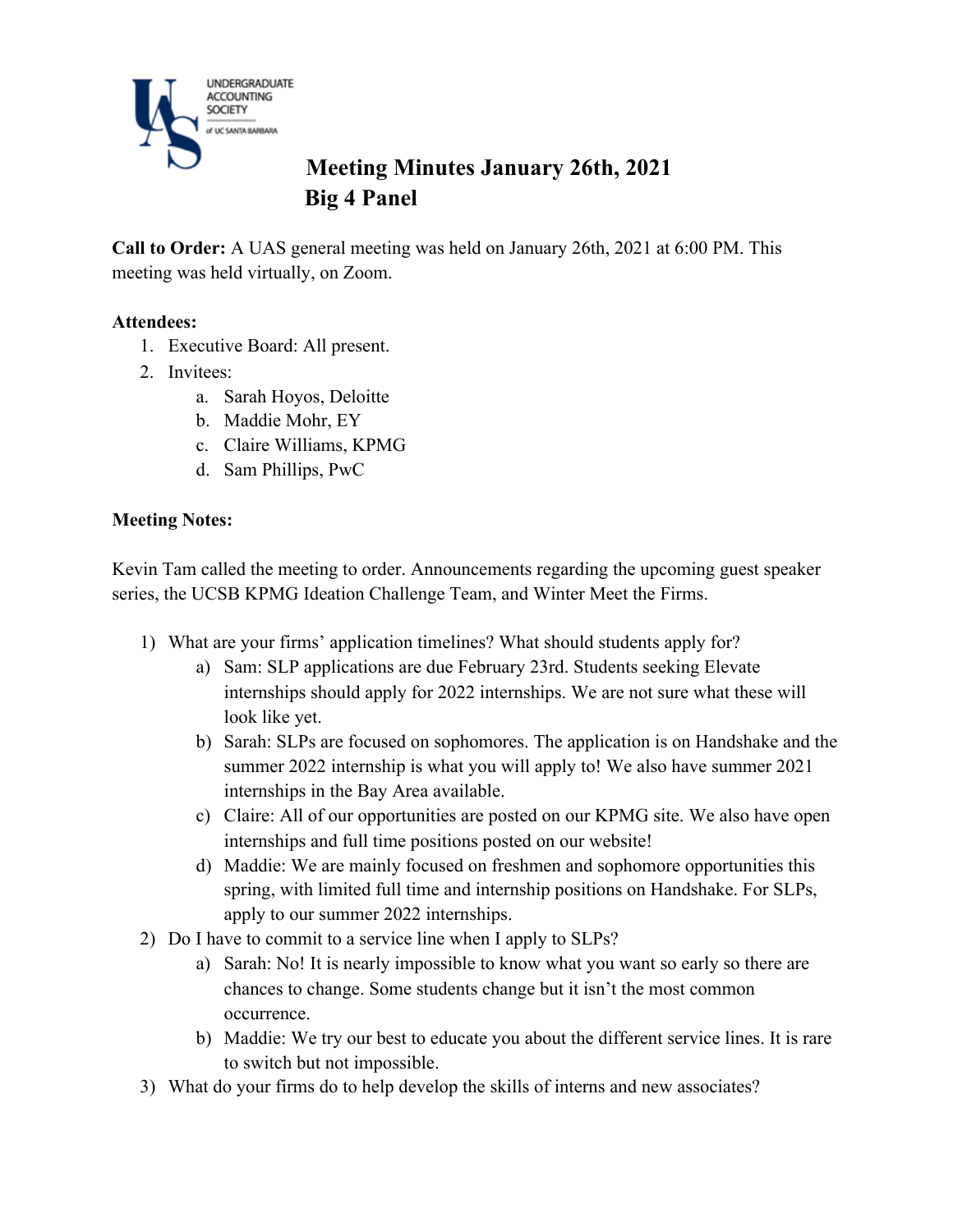

# **Meeting Minutes January 26th, 2021 Big 4 Panel**

**Call to Order:** A UAS general meeting was held on January 26th, 2021 at 6:00 PM. This meeting was held virtually, on Zoom.

### **Attendees:**

- 1. Executive Board: All present.
- 2. Invitees:
	- a. Sarah Hoyos, Deloitte
	- b. Maddie Mohr, EY
	- c. Claire Williams, KPMG
	- d. Sam Phillips, PwC

#### **Meeting Notes:**

Kevin Tam called the meeting to order. Announcements regarding the upcoming guest speaker series, the UCSB KPMG Ideation Challenge Team, and Winter Meet the Firms.

- 1) What are your firms' application timelines? What should students apply for?
	- a) Sam: SLP applications are due February 23rd. Students seeking Elevate internships should apply for 2022 internships. We are not sure what these will look like yet.
	- b) Sarah: SLPs are focused on sophomores. The application is on Handshake and the summer 2022 internship is what you will apply to! We also have summer 2021 internships in the Bay Area available.
	- c) Claire: All of our opportunities are posted on our KPMG site. We also have open internships and full time positions posted on our website!
	- d) Maddie: We are mainly focused on freshmen and sophomore opportunities this spring, with limited full time and internship positions on Handshake. For SLPs, apply to our summer 2022 internships.
- 2) Do I have to commit to a service line when I apply to SLPs?
	- a) Sarah: No! It is nearly impossible to know what you want so early so there are chances to change. Some students change but it isn't the most common occurrence.
	- b) Maddie: We try our best to educate you about the different service lines. It is rare to switch but not impossible.
- 3) What do your firms do to help develop the skills of interns and new associates?